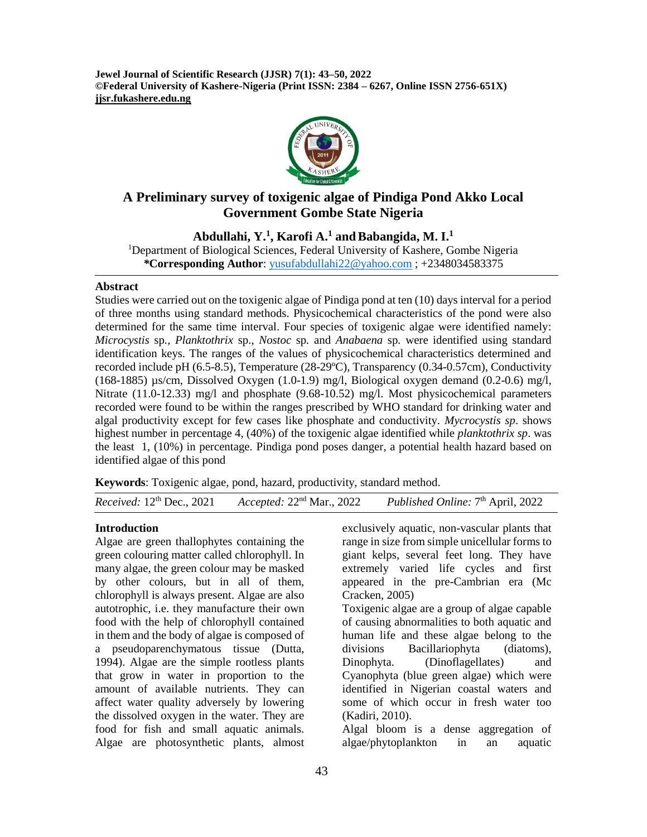**Jewel Journal of Scientific Research (JJSR) 7(1): 43–50, 2022 ©Federal University of Kashere-Nigeria (Print ISSN: 2384 – 6267, Online ISSN 2756-651X) jjsr.fukashere.edu.ng**



# **A Preliminary survey of toxigenic algae of Pindiga Pond Akko Local Government Gombe State Nigeria**

**Abdullahi, Y.<sup>1</sup> , Karofi A. <sup>1</sup> andBabangida, M. I.<sup>1</sup>**

<sup>1</sup>Department of Biological Sciences, Federal University of Kashere, Gombe Nigeria *\****Corresponding Author**: [yusufabdullahi22@yahoo.com](mailto:yusufabdullahi22@yahoo.com) ; +2348034583375

#### **Abstract**

Studies were carried out on the toxigenic algae of Pindiga pond at ten (10) days interval for a period of three months using standard methods. Physicochemical characteristics of the pond were also determined for the same time interval. Four species of toxigenic algae were identified namely: *Microcystis* sp*., Planktothrix* sp., *Nostoc* sp*.* and *Anabaena* sp*.* were identified using standard identification keys. The ranges of the values of physicochemical characteristics determined and recorded include pH (6.5-8.5), Temperature (28-29ºC), Transparency (0.34-0.57cm), Conductivity (168-1885)  $\mu$ s/cm, Dissolved Oxygen (1.0-1.9) mg/l, Biological oxygen demand (0.2-0.6) mg/l, Nitrate (11.0-12.33) mg/l and phosphate (9.68-10.52) mg/l. Most physicochemical parameters recorded were found to be within the ranges prescribed by WHO standard for drinking water and algal productivity except for few cases like phosphate and conductivity. *Mycrocystis sp*. shows highest number in percentage 4, (40%) of the toxigenic algae identified while *planktothrix sp*. was the least 1, (10%) in percentage. Pindiga pond poses danger, a potential health hazard based on identified algae of this pond

**Keywords**: Toxigenic algae, pond, hazard, productivity, standard method.

*Received:* 12<sup>th</sup> Dec., 2021 *Accepted:* 22<sup>nd</sup> Mar., 2022 Published Online: 7<sup>th</sup> April, 2022

#### **Introduction**

Algae are green thallophytes containing the green colouring matter called chlorophyll. In many algae, the green colour may be masked by other colours, but in all of them, chlorophyll is always present. Algae are also autotrophic, i.e. they manufacture their own food with the help of chlorophyll contained in them and the body of algae is composed of a pseudoparenchymatous tissue (Dutta, 1994). Algae are the simple rootless plants that grow in water in proportion to the amount of available nutrients. They can affect water quality adversely by lowering the dissolved oxygen in the water. They are food for fish and small aquatic animals. Algae are photosynthetic plants, almost

exclusively aquatic, non-vascular plants that range in size from simple unicellular forms to giant kelps, several feet long. They have extremely varied life cycles and first appeared in the pre-Cambrian era (Mc Cracken, 2005)

Toxigenic algae are a group of algae capable of causing abnormalities to both aquatic and human life and these algae belong to the divisions Bacillariophyta (diatoms), Dinophyta. (Dinoflagellates) and Cyanophyta (blue green algae) which were identified in Nigerian coastal waters and some of which occur in fresh water too (Kadiri, 2010).

Algal bloom is a dense aggregation of algae/phytoplankton in an aquatic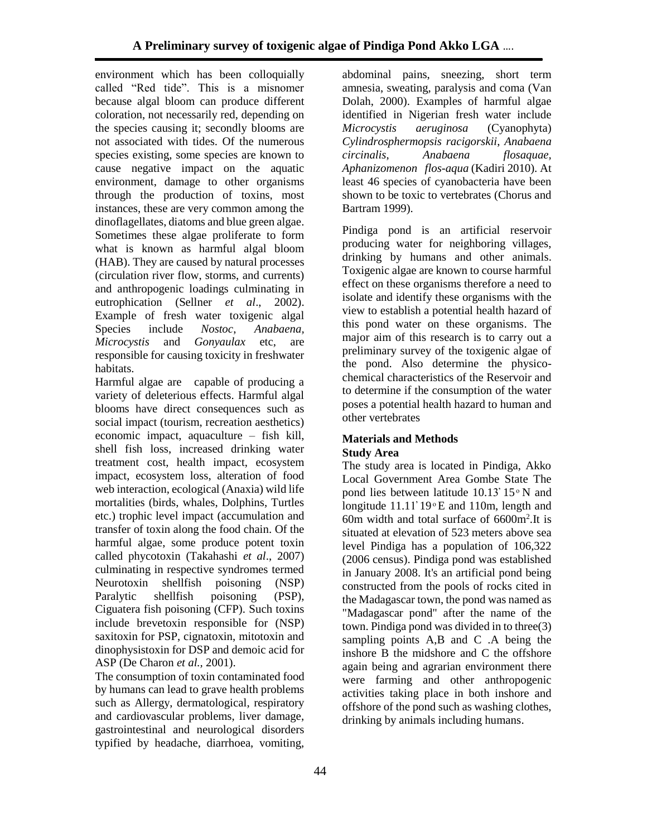environment which has been colloquially called "Red tide". This is a misnomer because algal bloom can produce different coloration, not necessarily red, depending on the species causing it; secondly blooms are not associated with tides. Of the numerous species existing, some species are known to cause negative impact on the aquatic environment, damage to other organisms through the production of toxins, most instances, these are very common among the dinoflagellates, diatoms and blue green algae. Sometimes these algae proliferate to form what is known as harmful algal bloom (HAB). They are caused by natural processes (circulation river flow, storms, and currents) and anthropogenic loadings culminating in eutrophication (Sellner *et al*., 2002). Example of fresh water toxigenic algal Species include *Nostoc*, *Anabaena, Microcystis* and *Gonyaulax* etc, are responsible for causing toxicity in freshwater habitats.

Harmful algae are capable of producing a variety of deleterious effects. Harmful algal blooms have direct consequences such as social impact (tourism, recreation aesthetics) economic impact, aquaculture – fish kill, shell fish loss, increased drinking water treatment cost, health impact, ecosystem impact, ecosystem loss, alteration of food web interaction, ecological (Anaxia) wild life mortalities (birds, whales, Dolphins, Turtles etc.) trophic level impact (accumulation and transfer of toxin along the food chain. Of the harmful algae, some produce potent toxin called phycotoxin (Takahashi *et al*., 2007) culminating in respective syndromes termed Neurotoxin shellfish poisoning (NSP) Paralytic shellfish poisoning (PSP), Ciguatera fish poisoning (CFP). Such toxins include brevetoxin responsible for (NSP) saxitoxin for PSP, cignatoxin, mitotoxin and dinophysistoxin for DSP and demoic acid for ASP (De Charon *et al.,* 2001).

The consumption of toxin contaminated food by humans can lead to grave health problems such as Allergy, dermatological, respiratory and cardiovascular problems, liver damage, gastrointestinal and neurological disorders typified by headache, diarrhoea, vomiting,

abdominal pains, sneezing, short term amnesia, sweating, paralysis and coma (Van Dolah, 2000). Examples of harmful algae identified in Nigerian fresh water include *Microcystis aeruginosa* (Cyanophyta) *Cylindrosphermopsis racigorskii*, *Anabaena circinalis*, *Anabaena flosaquae, Aphanizomenon flos-aqua* (Kadiri 2010). At least 46 species of cyanobacteria have been shown to be toxic to vertebrates (Chorus and Bartram 1999)*.* 

Pindiga pond is an artificial reservoir producing water for neighboring villages, drinking by humans and other animals. Toxigenic algae are known to course harmful effect on these organisms therefore a need to isolate and identify these organisms with the view to establish a potential health hazard of this pond water on these organisms. The major aim of this research is to carry out a preliminary survey of the toxigenic algae of the pond. Also determine the physicochemical characteristics of the Reservoir and to determine if the consumption of the water poses a potential health hazard to human and other vertebrates

# **Materials and Methods Study Area**

The study area is located in Pindiga, Akko Local Government Area Gombe State The pond lies between latitude  $10.13' 15°$  N and longitude  $11.11'19$ <sup>o</sup>E and 110m, length and 60m width and total surface of 6600m<sup>2</sup> .It is situated at elevation of 523 meters above sea level Pindiga has a population of 106,322 (2006 census). Pindiga pond was established in January 2008. It's an artificial pond being constructed from the pools of rocks cited in the Madagascar town, the pond was named as "Madagascar pond" after the name of the town. Pindiga pond was divided in to three(3) sampling points A,B and C .A being the inshore B the midshore and C the offshore again being and agrarian environment there were farming and other anthropogenic activities taking place in both inshore and offshore of the pond such as washing clothes, drinking by animals including humans.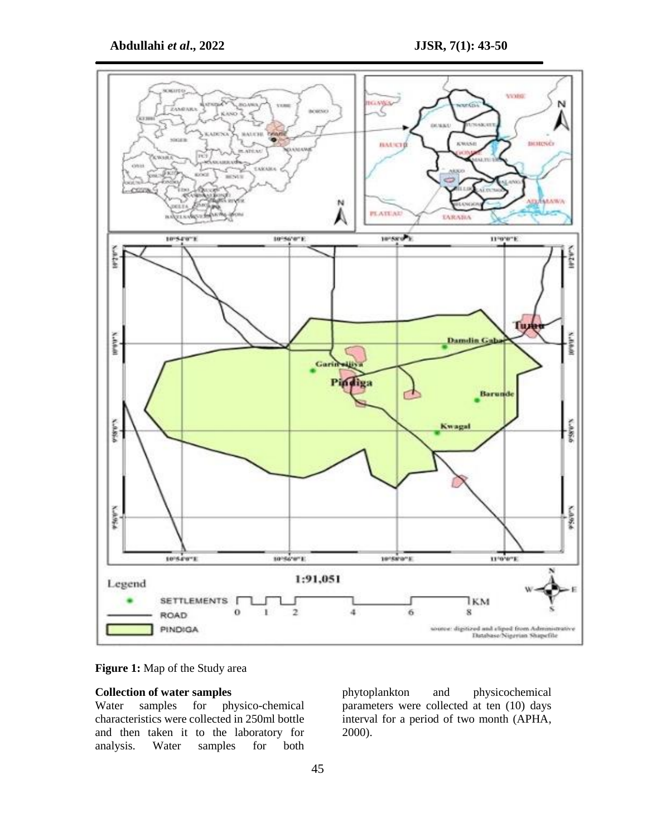

**Figure 1:** Map of the Study area

# **Collection of water samples**

Water samples for physico-chemical characteristics were collected in 250ml bottle and then taken it to the laboratory for analysis. Water samples for both

phytoplankton and physicochemical parameters were collected at ten (10) days interval for a period of two month (APHA, 2000).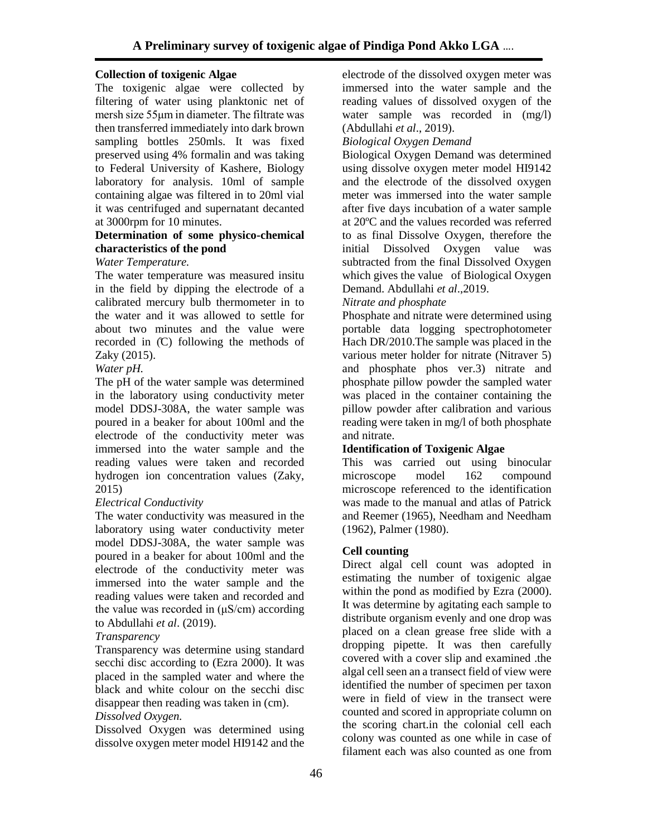# **Collection of toxigenic Algae**

The toxigenic algae were collected by filtering of water using planktonic net of mersh size 55μm in diameter. The filtrate was then transferred immediately into dark brown sampling bottles 250mls. It was fixed preserved using 4% formalin and was taking to Federal University of Kashere, Biology laboratory for analysis. 10ml of sample containing algae was filtered in to 20ml vial it was centrifuged and supernatant decanted at 3000rpm for 10 minutes.

# **Determination of some physico-chemical characteristics of the pond**

## *Water Temperature.*

The water temperature was measured insitu in the field by dipping the electrode of a calibrated mercury bulb thermometer in to the water and it was allowed to settle for about two minutes and the value were recorded in  $(C)$  following the methods of Zaky (2015).

## *Water pH.*

The pH of the water sample was determined in the laboratory using conductivity meter model DDSJ-308A, the water sample was poured in a beaker for about 100ml and the electrode of the conductivity meter was immersed into the water sample and the reading values were taken and recorded hydrogen ion concentration values (Zaky, 2015)

# *Electrical Conductivity*

The water conductivity was measured in the laboratory using water conductivity meter model DDSJ-308A, the water sample was poured in a beaker for about 100ml and the electrode of the conductivity meter was immersed into the water sample and the reading values were taken and recorded and the value was recorded in  $(\mu S/cm)$  according to Abdullahi *et al*. (2019).

## *Transparency*

Transparency was determine using standard secchi disc according to (Ezra 2000). It was placed in the sampled water and where the black and white colour on the secchi disc disappear then reading was taken in (cm).

# *Dissolved Oxygen.*

Dissolved Oxygen was determined using dissolve oxygen meter model HI9142 and the electrode of the dissolved oxygen meter was immersed into the water sample and the reading values of dissolved oxygen of the water sample was recorded in (mg/l) (Abdullahi *et al*., 2019).

## *Biological Oxygen Demand*

Biological Oxygen Demand was determined using dissolve oxygen meter model HI9142 and the electrode of the dissolved oxygen meter was immersed into the water sample after five days incubation of a water sample at 20ºC and the values recorded was referred to as final Dissolve Oxygen, therefore the initial Dissolved Oxygen value was subtracted from the final Dissolved Oxygen which gives the value of Biological Oxygen Demand. Abdullahi *et al*.,2019.

# *Nitrate and phosphate*

Phosphate and nitrate were determined using portable data logging spectrophotometer Hach DR/2010.The sample was placed in the various meter holder for nitrate (Nitraver 5) and phosphate phos ver.3) nitrate and phosphate pillow powder the sampled water was placed in the container containing the pillow powder after calibration and various reading were taken in mg/l of both phosphate and nitrate.

## **Identification of Toxigenic Algae**

This was carried out using binocular microscope model 162 compound microscope referenced to the identification was made to the manual and atlas of Patrick and Reemer (1965), Needham and Needham (1962), Palmer (1980).

## **Cell counting**

Direct algal cell count was adopted in estimating the number of toxigenic algae within the pond as modified by Ezra (2000). It was determine by agitating each sample to distribute organism evenly and one drop was placed on a clean grease free slide with a dropping pipette. It was then carefully covered with a cover slip and examined .the algal cell seen an a transect field of view were identified the number of specimen per taxon were in field of view in the transect were counted and scored in appropriate column on the scoring chart.in the colonial cell each colony was counted as one while in case of filament each was also counted as one from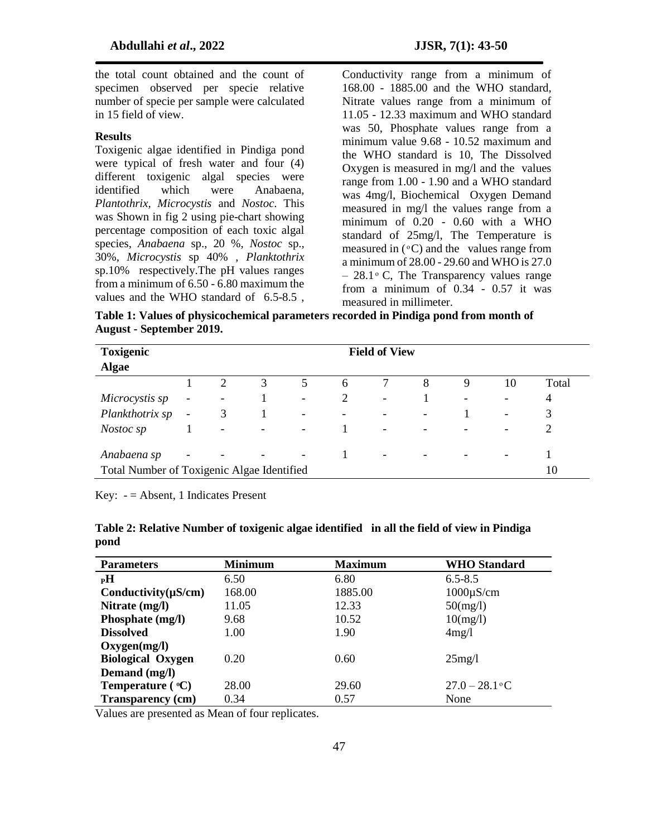the total count obtained and the count of specimen observed per specie relative number of specie per sample were calculated in 15 field of view.

#### **Results**

Toxigenic algae identified in Pindiga pond were typical of fresh water and four (4) different toxigenic algal species were identified which were Anabaena, *Plantothrix, Microcystis* and *Nostoc*. This was Shown in fig 2 using pie-chart showing percentage composition of each toxic algal species, *Anabaena* sp., 20 %, *Nostoc* sp., 30%, *Microcystis* sp 40% , *Planktothrix* sp.10% respectively.The pH values ranges from a minimum of 6.50 - 6.80 maximum the values and the WHO standard of 6.5-8.5 ,

Conductivity range from a minimum of 168.00 - 1885.00 and the WHO standard, Nitrate values range from a minimum of 11.05 - 12.33 maximum and WHO standard was 50, Phosphate values range from a minimum value 9.68 - 10.52 maximum and the WHO standard is 10, The Dissolved Oxygen is measured in mg/l and the values range from 1.00 - 1.90 and a WHO standard was 4mg/l, Biochemical Oxygen Demand measured in mg/l the values range from a minimum of 0.20 - 0.60 with a WHO standard of 25mg/l, The Temperature is measured in  $(^{\circ}C)$  and the values range from a minimum of 28.00 - 29.60 and WHO is 27.0  $-28.1$  ° C, The Transparency values range from a minimum of 0.34 - 0.57 it was measured in millimeter.

**Table 1: Values of physicochemical parameters recorded in Pindiga pond from month of August - September 2019.**

| <b>Toxigenic</b><br><b>Algae</b>                          | <b>Field of View</b>     |                          |   |                          |                   |                          |                          |   |                          |       |
|-----------------------------------------------------------|--------------------------|--------------------------|---|--------------------------|-------------------|--------------------------|--------------------------|---|--------------------------|-------|
|                                                           |                          | 2                        | 3 | 5                        | 6                 |                          | 8                        | 9 | 10                       | Total |
| Microcystis sp                                            | $\overline{\phantom{a}}$ | -                        |   | $\overline{\phantom{0}}$ | 2                 | $\overline{\phantom{a}}$ |                          |   | -                        | 4     |
| Plankthotrix sp                                           | $\overline{\phantom{a}}$ | 3                        | 1 | $\overline{\phantom{0}}$ | $\qquad \qquad -$ | $\overline{\phantom{a}}$ | $\overline{\phantom{a}}$ |   | $\overline{\phantom{a}}$ | 3     |
| Nostoc sp                                                 |                          | $\overline{\phantom{a}}$ |   | $\overline{\phantom{a}}$ |                   | $\overline{\phantom{a}}$ |                          |   | -                        |       |
| Anabaena sp<br>Total Number of Toxigenic Algae Identified |                          |                          |   | $\overline{\phantom{0}}$ |                   | $\overline{\phantom{a}}$ |                          |   |                          | 10    |

Key:  $-$  = Absent, 1 Indicates Present

| Table 2: Relative Number of toxigenic algae identified in all the field of view in Pindiga |  |
|--------------------------------------------------------------------------------------------|--|
| pond                                                                                       |  |

| <b>Parameters</b>         | <b>Minimum</b> | <b>Maximum</b> | <b>WHO</b> Standard |
|---------------------------|----------------|----------------|---------------------|
| $_{\rm P}$ H              | 6.50           | 6.80           | $6.5 - 8.5$         |
| Conductivity $(\mu S/cm)$ | 168.00         | 1885.00        | $1000\mu$ S/cm      |
| Nitrate (mg/l)            | 11.05          | 12.33          | $50$ (mg/l)         |
| Phosphate (mg/l)          | 9.68           | 10.52          | 10(mg/l)            |
| <b>Dissolved</b>          | 1.00           | 1.90           | 4mg/l               |
| Oxygen(mg/l)              |                |                |                     |
| <b>Biological Oxygen</b>  | 0.20           | 0.60           | 25mg/l              |
| Demand (mg/l)             |                |                |                     |
| Temperature $(°C)$        | 28.00          | 29.60          | $27.0 - 28.1$ °C    |
| <b>Transparency (cm)</b>  | 0.34           | 0.57           | None                |

Values are presented as Mean of four replicates.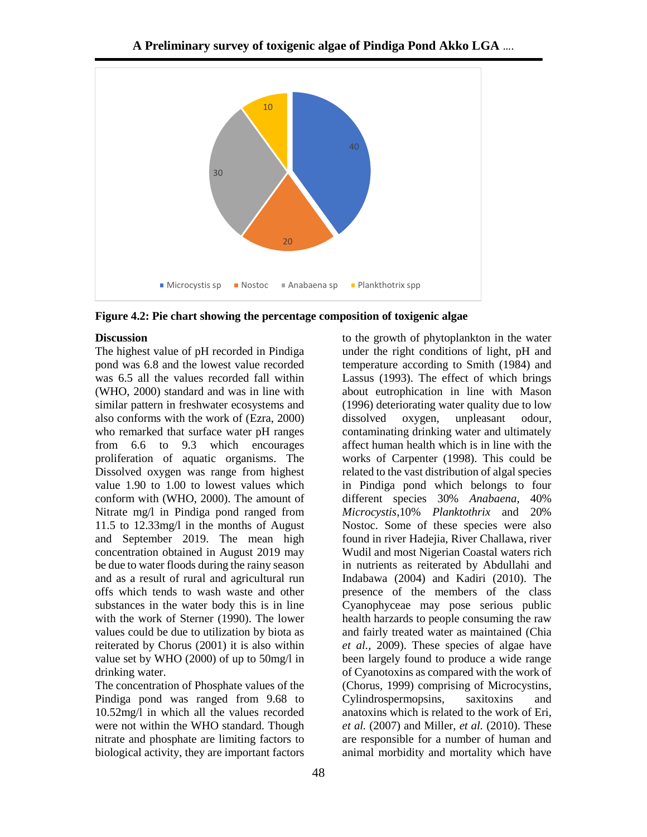

**Figure 4.2: Pie chart showing the percentage composition of toxigenic algae**

#### **Discussion**

The highest value of pH recorded in Pindiga pond was 6.8 and the lowest value recorded was 6.5 all the values recorded fall within (WHO, 2000) standard and was in line with similar pattern in freshwater ecosystems and also conforms with the work of (Ezra, 2000) who remarked that surface water pH ranges from 6.6 to 9.3 which encourages proliferation of aquatic organisms. The Dissolved oxygen was range from highest value 1.90 to 1.00 to lowest values which conform with (WHO, 2000). The amount of Nitrate mg/l in Pindiga pond ranged from 11.5 to 12.33mg/l in the months of August and September 2019. The mean high concentration obtained in August 2019 may be due to water floods during the rainy season and as a result of rural and agricultural run offs which tends to wash waste and other substances in the water body this is in line with the work of Sterner (1990). The lower values could be due to utilization by biota as reiterated by Chorus (2001) it is also within value set by WHO (2000) of up to 50mg/l in drinking water.

The concentration of Phosphate values of the Pindiga pond was ranged from 9.68 to 10.52mg/l in which all the values recorded were not within the WHO standard. Though nitrate and phosphate are limiting factors to biological activity, they are important factors

to the growth of phytoplankton in the water under the right conditions of light, pH and temperature according to Smith (1984) and Lassus (1993). The effect of which brings about eutrophication in line with Mason (1996) deteriorating water quality due to low dissolved oxygen, unpleasant odour, contaminating drinking water and ultimately affect human health which is in line with the works of Carpenter (1998). This could be related to the vast distribution of algal species in Pindiga pond which belongs to four different species 30% *Anabaena*, 40% *Microcystis*,10% *Planktothrix* and 20% Nostoc. Some of these species were also found in river Hadejia, River Challawa, river Wudil and most Nigerian Coastal waters rich in nutrients as reiterated by Abdullahi and Indabawa (2004) and Kadiri (2010). The presence of the members of the class Cyanophyceae may pose serious public health harzards to people consuming the raw and fairly treated water as maintained (Chia *et al.,* 2009). These species of algae have been largely found to produce a wide range of Cyanotoxins as compared with the work of (Chorus, 1999) comprising of Microcystins, Cylindrospermopsins, saxitoxins and anatoxins which is related to the work of Eri, *et al.* (2007) and Miller, *et al.* (2010). These are responsible for a number of human and animal morbidity and mortality which have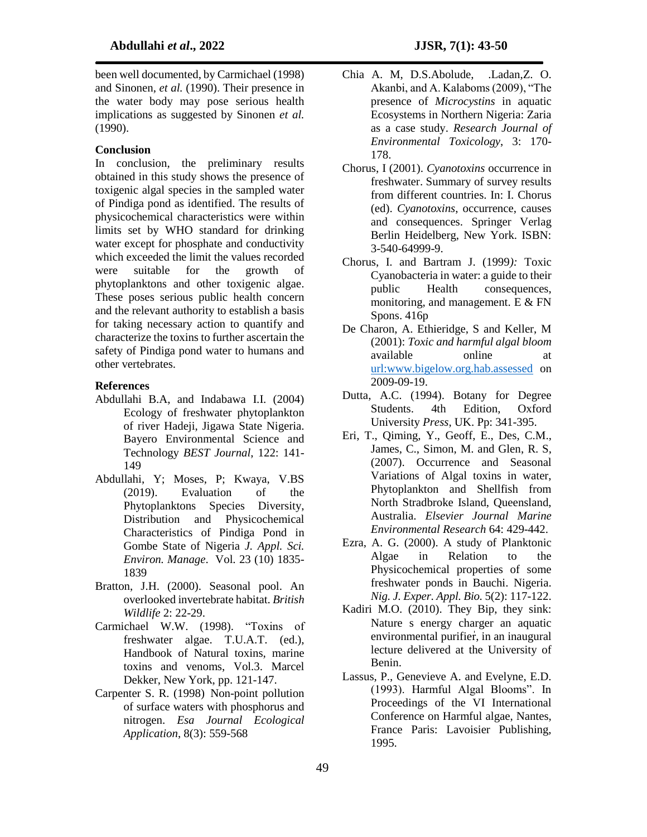#### **Conclusion**

In conclusion, the preliminary results obtained in this study shows the presence of toxigenic algal species in the sampled water of Pindiga pond as identified. The results of physicochemical characteristics were within limits set by WHO standard for drinking water except for phosphate and conductivity which exceeded the limit the values recorded were suitable for the growth of phytoplanktons and other toxigenic algae. These poses serious public health concern and the relevant authority to establish a basis for taking necessary action to quantify and characterize the toxins to further ascertain the safety of Pindiga pond water to humans and other vertebrates.

#### **References**

- Abdullahi B.A, and Indabawa I.I. (2004) Ecology of freshwater phytoplankton of river Hadeji, Jigawa State Nigeria. Bayero Environmental Science and Technology *BEST Journal*, 122: 141- 149
- Abdullahi, Y; Moses, P; Kwaya, V.BS (2019). Evaluation of the Phytoplanktons Species Diversity, Distribution and Physicochemical Characteristics of Pindiga Pond in Gombe State of Nigeria *J. Appl. Sci. Environ. Manage*. Vol. 23 (10) 1835- 1839
- Bratton, J.H. (2000). Seasonal pool. An overlooked invertebrate habitat. *British Wildlife* 2: 22-29.
- Carmichael W.W. (1998). "Toxins of freshwater algae. T.U.A.T. (ed.), Handbook of Natural toxins, marine toxins and venoms, Vol.3. Marcel Dekker, New York, pp. 121-147.
- Carpenter S. R. (1998) Non-point pollution of surface waters with phosphorus and nitrogen. *Esa Journal Ecological Application*, 8(3): 559-568
- Chia A. M, D.S.Abolude, .Ladan,Z. O. Akanbi, and A. Kalaboms (2009), "The presence of *Microcystins* in aquatic Ecosystems in Northern Nigeria: Zaria as a case study. *Research Journal of Environmental Toxicology*, 3: 170- 178.
- Chorus, I (2001). *Cyanotoxins* occurrence in freshwater. Summary of survey results from different countries. In: I. Chorus (ed). *Cyanotoxins*, occurrence, causes and consequences. Springer Verlag Berlin Heidelberg, New York. ISBN: 3-540-64999-9.
- Chorus, I. and Bartram J. (1999*):* Toxic Cyanobacteria in water: a guide to their public Health consequences, monitoring, and management. E & FN Spons. 416p
- De Charon, A. Ethieridge, S and Keller, M (2001): *Toxic and harmful algal bloom*  available online at [url:www.bigelow.org.hab.assessed](file:///C:/Users/DELL/Desktop/www.bigelow.org.hab.assessed) on 2009-09-19.
- Dutta, A.C. (1994). Botany for Degree Students. 4th Edition, Oxford University *Press*, UK. Pp: 341-395.
- Eri, T., Qiming, Y., Geoff, E., Des, C.M., James, C., Simon, M. and Glen, R. S, (2007). Occurrence and Seasonal Variations of Algal toxins in water, Phytoplankton and Shellfish from North Stradbroke Island, Queensland, Australia. *Elsevier Journal Marine Environmental Research* 64: 429-442.
- Ezra, A. G. (2000). A study of Planktonic Algae in Relation to the Physicochemical properties of some freshwater ponds in Bauchi. Nigeria. *Nig. J. Exper. Appl. Bio.* 5(2): 117-122.
- Kadiri M.O. (2010). They Bip, they sink: Nature s energy charger an aquatic environmental purifier, in an inaugural lecture delivered at the University of Benin.
- Lassus, P., Genevieve A. and Evelyne, E.D. (1993). Harmful Algal Blooms". In Proceedings of the VI International Conference on Harmful algae, Nantes, France Paris: Lavoisier Publishing, 1995.